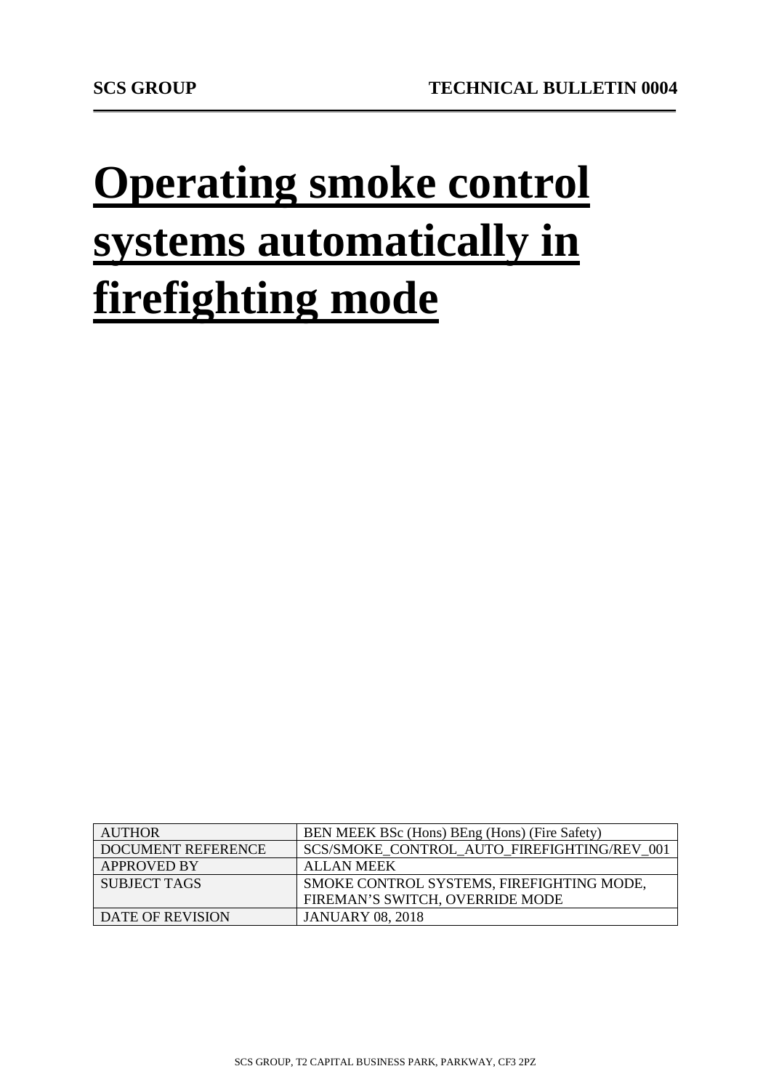# **Operating smoke control systems automatically in firefighting mode**

| <b>AUTHOR</b>       | BEN MEEK BSc (Hons) BEng (Hons) (Fire Safety) |
|---------------------|-----------------------------------------------|
| DOCUMENT REFERENCE  | SCS/SMOKE_CONTROL_AUTO_FIREFIGHTING/REV_001   |
| <b>APPROVED BY</b>  | <b>ALLAN MEEK</b>                             |
| <b>SUBJECT TAGS</b> | SMOKE CONTROL SYSTEMS, FIREFIGHTING MODE,     |
|                     | FIREMAN'S SWITCH, OVERRIDE MODE               |
| DATE OF REVISION    | <b>JANUARY 08, 2018</b>                       |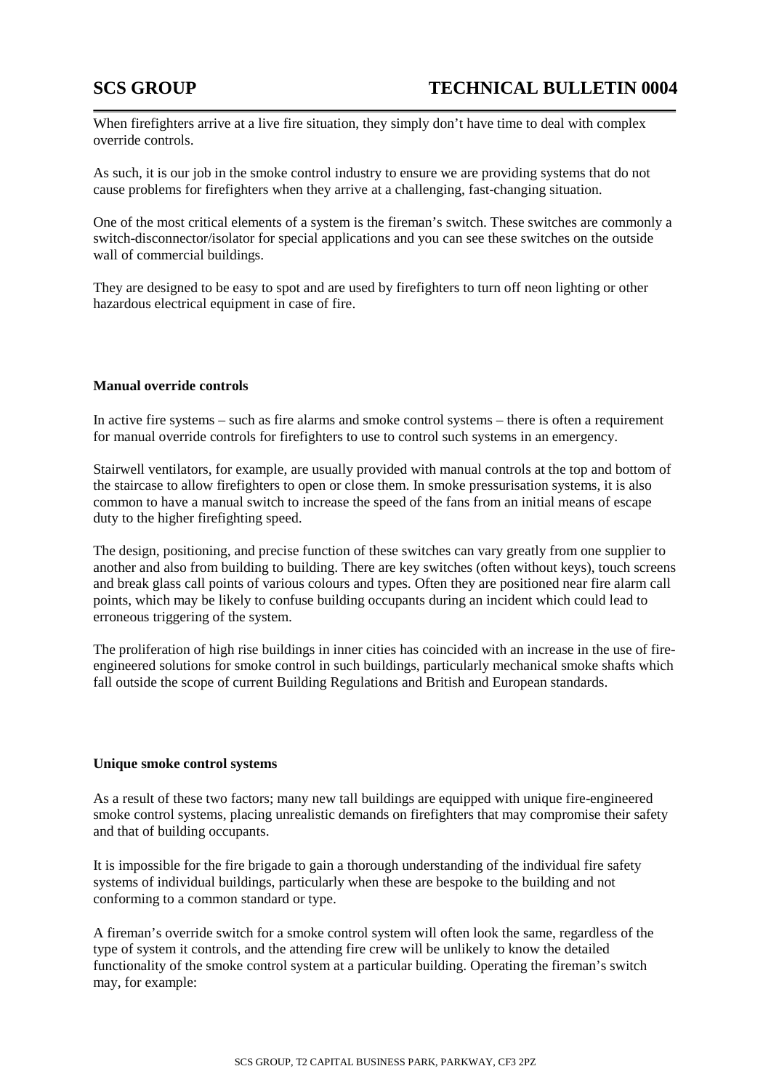When firefighters arrive at a live fire situation, they simply don't have time to deal with complex override controls.

As such, it is our job in the smoke control industry to ensure we are providing systems that do not cause problems for firefighters when they arrive at a challenging, fast-changing situation.

One of the most critical elements of a system is the fireman's switch. These switches are commonly a switch-disconnector/isolator for special applications and you can see these switches on the outside wall of commercial buildings.

They are designed to be easy to spot and are used by firefighters to turn off neon lighting or other hazardous electrical equipment in case of fire.

### **Manual override controls**

In active fire systems – such as fire alarms and smoke control systems – there is often a requirement for manual override controls for firefighters to use to control such systems in an emergency.

Stairwell ventilators, for example, are usually provided with manual controls at the top and bottom of the staircase to allow firefighters to open or close them. In smoke pressurisation systems, it is also common to have a manual switch to increase the speed of the fans from an initial means of escape duty to the higher firefighting speed.

The design, positioning, and precise function of these switches can vary greatly from one supplier to another and also from building to building. There are key switches (often without keys), touch screens and break glass call points of various colours and types. Often they are positioned near fire alarm call points, which may be likely to confuse building occupants during an incident which could lead to erroneous triggering of the system.

The proliferation of high rise buildings in inner cities has coincided with an increase in the use of fireengineered solutions for smoke control in such buildings, particularly mechanical smoke shafts which fall outside the scope of current Building Regulations and British and European standards.

## **Unique smoke control systems**

As a result of these two factors; many new tall buildings are equipped with unique fire-engineered smoke control systems, placing unrealistic demands on firefighters that may compromise their safety and that of building occupants.

It is impossible for the fire brigade to gain a thorough understanding of the individual fire safety systems of individual buildings, particularly when these are bespoke to the building and not conforming to a common standard or type.

A fireman's override switch for a smoke control system will often look the same, regardless of the type of system it controls, and the attending fire crew will be unlikely to know the detailed functionality of the smoke control system at a particular building. Operating the fireman's switch may, for example: